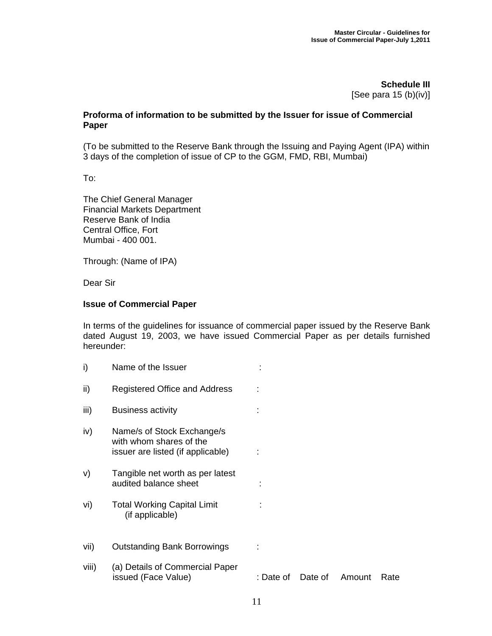**Schedule III**  [See para 15 (b)(iv)]

## **Proforma of information to be submitted by the Issuer for issue of Commercial Paper**

(To be submitted to the Reserve Bank through the Issuing and Paying Agent (IPA) within 3 days of the completion of issue of CP to the GGM, FMD, RBI, Mumbai)

To:

The Chief General Manager Financial Markets Department Reserve Bank of India Central Office, Fort Mumbai - 400 001.

Through: (Name of IPA)

Dear Sir

## **Issue of Commercial Paper**

In terms of the guidelines for issuance of commercial paper issued by the Reserve Bank dated August 19, 2003, we have issued Commercial Paper as per details furnished hereunder:

| i)    | Name of the Issuer                                                                         |           |         |        |      |
|-------|--------------------------------------------------------------------------------------------|-----------|---------|--------|------|
| ii)   | Registered Office and Address                                                              |           |         |        |      |
| iii)  | <b>Business activity</b>                                                                   |           |         |        |      |
| iv)   | Name/s of Stock Exchange/s<br>with whom shares of the<br>issuer are listed (if applicable) |           |         |        |      |
| V)    | Tangible net worth as per latest<br>audited balance sheet                                  |           |         |        |      |
| vi)   | <b>Total Working Capital Limit</b><br>(if applicable)                                      |           |         |        |      |
| vii)  | <b>Outstanding Bank Borrowings</b>                                                         |           |         |        |      |
| viii) | (a) Details of Commercial Paper<br>issued (Face Value)                                     | : Date of | Date of | Amount | Rate |